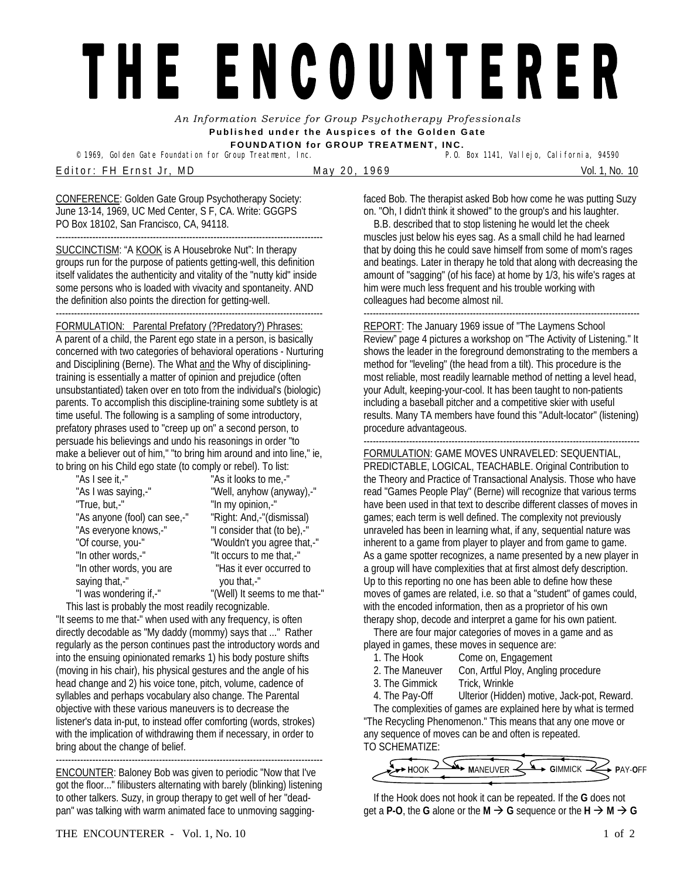## THE ENCOUNTERER

*An Information Service for Group Psychotherapy Professionals*  **Published under the Auspices of the Golden Gate FOUNDATION for GROUP TREATMENT, INC.** 

© 1969, Golden Gate Foundation for Group Treatment, Inc.

E ditor: FH E rnst Jr, MD May 20, 1969 May 20, 1969 Vol. 1, No. 10

CONFERENCE: Golden Gate Group Psychotherapy Society: June 13-14, 1969, UC Med Center, S F, CA. Write: GGGPS PO Box 18102, San Francisco, CA, 94118. ----------------------------------------------------------------------------------------

SUCCINCTISM: "A KOOK is A Housebroke Nut": In therapy groups run for the purpose of patients getting-well, this definition itself validates the authenticity and vitality of the "nutty kid" inside some persons who is loaded with vivacity and spontaneity. AND the definition also points the direction for getting-well.

----------------------------------------------------------------------------------------

## FORMULATION: Parental Prefatory (?Predatory?) Phrases:

A parent of a child, the Parent ego state in a person, is basically concerned with two categories of behavioral operations - Nurturing and Disciplining (Berne). The What and the Why of discipliningtraining is essentially a matter of opinion and prejudice (often unsubstantiated) taken over en toto from the individual's (biologic) parents. To accomplish this discipline-training some subtlety is at time useful. The following is a sampling of some introductory, prefatory phrases used to "creep up on" a second person, to persuade his believings and undo his reasonings in order "to make a believer out of him," "to bring him around and into line," ie, to bring on his Child ego state (to comply or rebel). To list:

| "As I see it,-"              | "As it looks to me,-"         |
|------------------------------|-------------------------------|
| "As I was saying,-"          | "Well, anyhow (anyway),-"     |
| "True, but,-"                | "In my opinion,-"             |
| "As anyone (fool) can see,-" | "Right: And,-"(dismissal)     |
| "As everyone knows,-"        | "I consider that (to be),-"   |
| "Of course, you-"            | "Wouldn't you agree that,-"   |
| "In other words,-"           | "It occurs to me that,-"      |
| "In other words, you are     | "Has it ever occurred to      |
| saying that,-"               | you that,-"                   |
| "I was wondering if,-"       | "(Well) It seems to me that-" |
|                              |                               |

 This last is probably the most readily recognizable. "It seems to me that-" when used with any frequency, is often directly decodable as "My daddy (mommy) says that ..." Rather regularly as the person continues past the introductory words and into the ensuing opinionated remarks 1) his body posture shifts (moving in his chair), his physical gestures and the angle of his head change and 2) his voice tone, pitch, volume, cadence of syllables and perhaps vocabulary also change. The Parental objective with these various maneuvers is to decrease the listener's data in-put, to instead offer comforting (words, strokes) with the implication of withdrawing them if necessary, in order to bring about the change of belief. ----------------------------------------------------------------------------------------

ENCOUNTER: Baloney Bob was given to periodic "Now that I've got the floor..." filibusters alternating with barely (blinking) listening to other talkers. Suzy, in group therapy to get well of her "deadpan" was talking with warm animated face to unmoving saggingfaced Bob. The therapist asked Bob how come he was putting Suzy on. "Oh, I didn't think it showed" to the group's and his laughter.

 B.B. described that to stop listening he would let the cheek muscles just below his eyes sag. As a small child he had learned that by doing this he could save himself from some of mom's rages and beatings. Later in therapy he told that along with decreasing the amount of "sagging" (of his face) at home by 1/3, his wife's rages at him were much less frequent and his trouble working with colleagues had become almost nil.

------------------------------------------------------------------------------------------- REPORT: The January 1969 issue of "The Laymens School Review" page 4 pictures a workshop on "The Activity of Listening." It shows the leader in the foreground demonstrating to the members a method for "leveling" (the head from a tilt). This procedure is the most reliable, most readily learnable method of netting a level head, your Adult, keeping-your-cool. It has been taught to non-patients including a baseball pitcher and a competitive skier with useful results. Many TA members have found this "Adult-locator" (listening) procedure advantageous.

------------------------------------------------------------------------------------------- FORMULATION: GAME MOVES UNRAVELED: SEQUENTIAL,

PREDICTABLE, LOGICAL, TEACHABLE. Original Contribution to the Theory and Practice of Transactional Analysis. Those who have read "Games People Play" (Berne) will recognize that various terms have been used in that text to describe different classes of moves in games; each term is well defined. The complexity not previously unraveled has been in learning what, if any, sequential nature was inherent to a game from player to player and from game to game. As a game spotter recognizes, a name presented by a new player in a group will have complexities that at first almost defy description. Up to this reporting no one has been able to define how these moves of games are related, i.e. so that a "student" of games could, with the encoded information, then as a proprietor of his own therapy shop, decode and interpret a game for his own patient.

 There are four major categories of moves in a game and as played in games, these moves in sequence are:

- 1. The Hook Come on, Engagement
- 2. The Maneuver Con, Artful Ploy, Angling procedure
- 3. The Gimmick Trick, Wrinkle
- 4. The Pay-Off Ulterior (Hidden) motive, Jack-pot, Reward.

 The complexities of games are explained here by what is termed "The Recycling Phenomenon." This means that any one move or any sequence of moves can be and often is repeated. TO SCHEMATIZE:

**HOOK ARANEUVER SAFT GIMMICK REPAY-OFF** 

 If the Hook does not hook it can be repeated. If the **G** does not get a **P-O**, the **G** alone or the **M**  $\rightarrow$  **G** sequence or the **H**  $\rightarrow$  **M**  $\rightarrow$  **G**